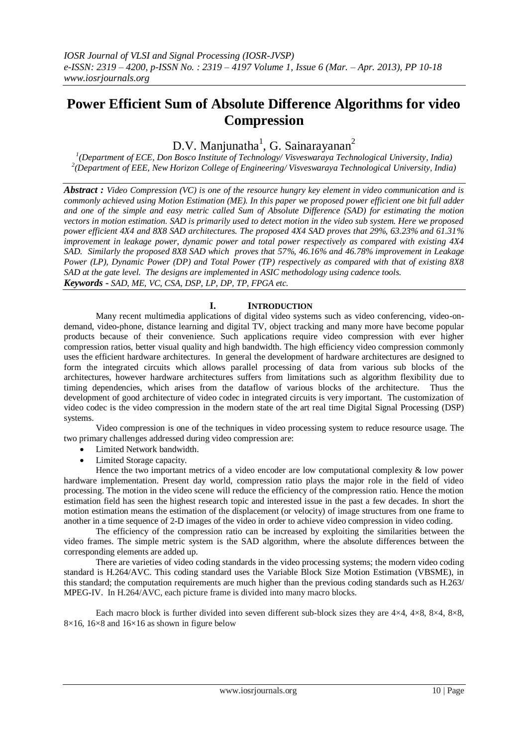# **Power Efficient Sum of Absolute Difference Algorithms for video Compression**

# D.V. Manjunatha<sup>1</sup>, G. Sainarayanan<sup>2</sup>

*1 (Department of ECE, Don Bosco Institute of Technology/ Visveswaraya Technological University, India) 2 (Department of EEE, New Horizon College of Engineering/ Visveswaraya Technological University, India)*

*Abstract : Video Compression (VC) is one of the resource hungry key element in video communication and is commonly achieved using Motion Estimation (ME). In this paper we proposed power efficient one bit full adder and one of the simple and easy metric called Sum of Absolute Difference (SAD) for estimating the motion vectors in motion estimation. SAD is primarily used to detect motion in the video sub system. Here we proposed power efficient 4X4 and 8X8 SAD architectures. The proposed 4X4 SAD proves that 29%, 63.23% and 61.31% improvement in leakage power, dynamic power and total power respectively as compared with existing 4X4 SAD. Similarly the proposed 8X8 SAD which proves that 57%, 46.16% and 46.78% improvement in Leakage Power (LP), Dynamic Power (DP) and Total Power (TP) respectively as compared with that of existing 8X8 SAD at the gate level. The designs are implemented in ASIC methodology using cadence tools. Keywords - SAD, ME, VC, CSA, DSP, LP, DP, TP, FPGA etc.*

## **I. INTRODUCTION**

Many recent multimedia applications of digital video systems such as video conferencing, video-ondemand, video-phone, distance learning and digital TV, object tracking and many more have become popular products because of their convenience. Such applications require video compression with ever higher compression ratios, better visual quality and high bandwidth. The high efficiency video compression commonly uses the efficient hardware architectures. In general the development of hardware architectures are designed to form the integrated circuits which allows parallel processing of data from various sub blocks of the architectures, however hardware architectures suffers from limitations such as algorithm flexibility due to timing dependencies, which arises from the dataflow of various blocks of the architecture. Thus the development of good architecture of video codec in integrated circuits is very important. The customization of video codec is the video compression in the modern state of the art real time Digital Signal Processing (DSP) systems.

Video compression is one of the techniques in video processing system to reduce resource usage. The two primary challenges addressed during video compression are:

- Limited Network bandwidth.
- Limited Storage capacity.

Hence the two important metrics of a video encoder are low computational complexity & low power hardware implementation. Present day world, compression ratio plays the major role in the field of video processing. The motion in the video scene will reduce the efficiency of the compression ratio. Hence the motion estimation field has seen the highest research topic and interested issue in the past a few decades. In short the motion estimation means the estimation of the displacement (or velocity) of image structures from one frame to another in a time sequence of 2-D images of the video in order to achieve video compression in video coding.

The efficiency of the compression ratio can be increased by exploiting the similarities between the video frames. The simple metric system is the SAD algorithm, where the absolute differences between the corresponding elements are added up.

 There are varieties of video coding standards in the video processing systems; the modern video coding standard is H.264/AVC. This coding standard uses the Variable Block Size Motion Estimation (VBSME), in this standard; the computation requirements are much higher than the previous coding standards such as H.263/ MPEG-IV. In H.264/AVC, each picture frame is divided into many macro blocks.

Each macro block is further divided into seven different sub-block sizes they are  $4\times4$ ,  $4\times8$ ,  $8\times4$ ,  $8\times8$ ,  $8\times16$ ,  $16\times8$  and  $16\times16$  as shown in figure below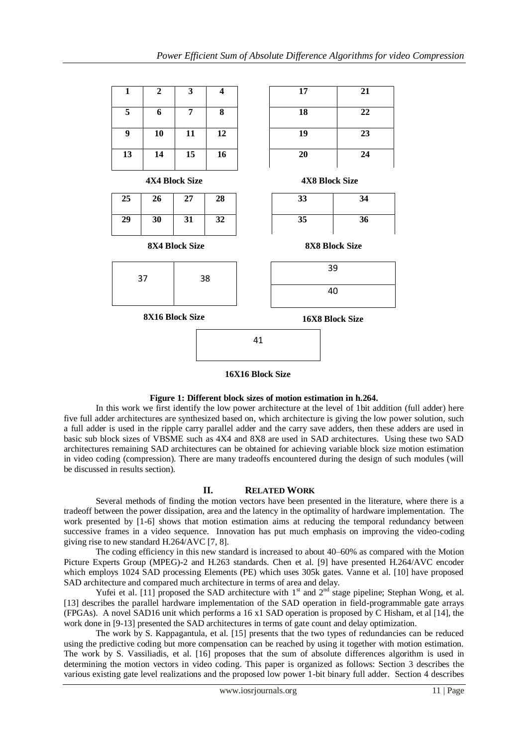

### **Figure 1: Different block sizes of motion estimation in h.264.**

In this work we first identify the low power architecture at the level of 1bit addition (full adder) here five full adder architectures are synthesized based on, which architecture is giving the low power solution, such a full adder is used in the ripple carry parallel adder and the carry save adders, then these adders are used in basic sub block sizes of VBSME such as 4X4 and 8X8 are used in SAD architectures. Using these two SAD architectures remaining SAD architectures can be obtained for achieving variable block size motion estimation in video coding (compression). There are many tradeoffs encountered during the design of such modules (will be discussed in results section).

## **II. RELATED WORK**

Several methods of finding the motion vectors have been presented in the literature, where there is a tradeoff between the power dissipation, area and the latency in the optimality of hardware implementation. The work presented by [1-6] shows that motion estimation aims at reducing the temporal redundancy between successive frames in a video sequence. Innovation has put much emphasis on improving the video-coding giving rise to new standard H.264/AVC [7, 8].

The coding efficiency in this new standard is increased to about 40–60% as compared with the Motion Picture Experts Group (MPEG)-2 and H.263 standards. Chen et al. [9] have presented H.264/AVC encoder which employs 1024 SAD processing Elements (PE) which uses 305k gates. Vanne et al. [10] have proposed SAD architecture and compared much architecture in terms of area and delay.

Yufei et al. [11] proposed the SAD architecture with  $1<sup>st</sup>$  and  $2<sup>nd</sup>$  stage pipeline; Stephan Wong, et al. [13] describes the parallel hardware implementation of the SAD operation in field-programmable gate arrays (FPGAs). A novel SAD16 unit which performs a 16 x1 SAD operation is proposed by C Hisham, et al [14], the work done in [9-13] presented the SAD architectures in terms of gate count and delay optimization.

The work by S. Kappagantula, et al. [15] presents that the two types of redundancies can be reduced using the predictive coding but more compensation can be reached by using it together with motion estimation. The work by S. Vassiliadis, et al. [16] proposes that the sum of absolute differences algorithm is used in determining the motion vectors in video coding. This paper is organized as follows: Section 3 describes the various existing gate level realizations and the proposed low power 1-bit binary full adder. Section 4 describes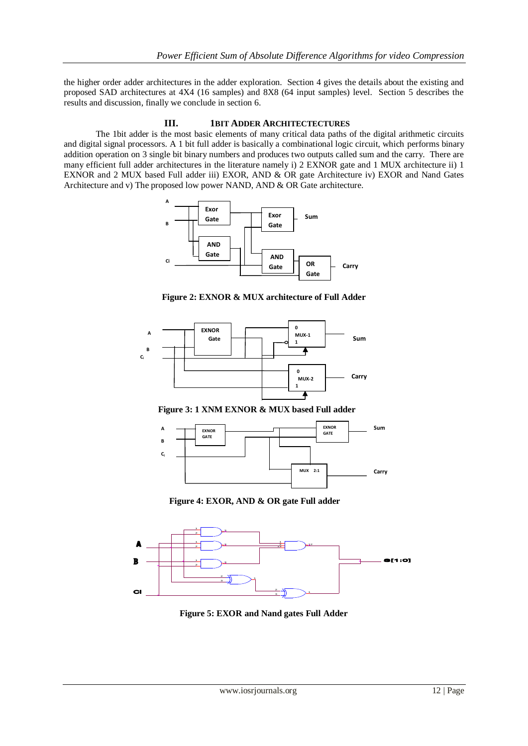the higher order adder architectures in the adder exploration. Section 4 gives the details about the existing and proposed SAD architectures at 4X4 (16 samples) and 8X8 (64 input samples) level. Section 5 describes the results and discussion, finally we conclude in section 6.

### **III. 1BIT ADDER ARCHITECTECTURES**

The 1bit adder is the most basic elements of many critical data paths of the digital arithmetic circuits and digital signal processors. A 1 bit full adder is basically a combinational logic circuit, which performs binary addition operation on 3 single bit binary numbers and produces two outputs called sum and the carry. There are many efficient full adder architectures in the literature namely i) 2 EXNOR gate and 1 MUX architecture ii) 1 EXNOR and 2 MUX based Full adder iii) EXOR, AND & OR gate Architecture iv) EXOR and Nand Gates Architecture and v) The proposed low power NAND, AND & OR Gate architecture.



**Figure 2: EXNOR & MUX architecture of Full Adder**



 **Figure 3: 1 XNM EXNOR & MUX based Full adder**



 **Figure 4: EXOR, AND & OR gate Full adder**



 **Figure 5: EXOR and Nand gates Full Adder**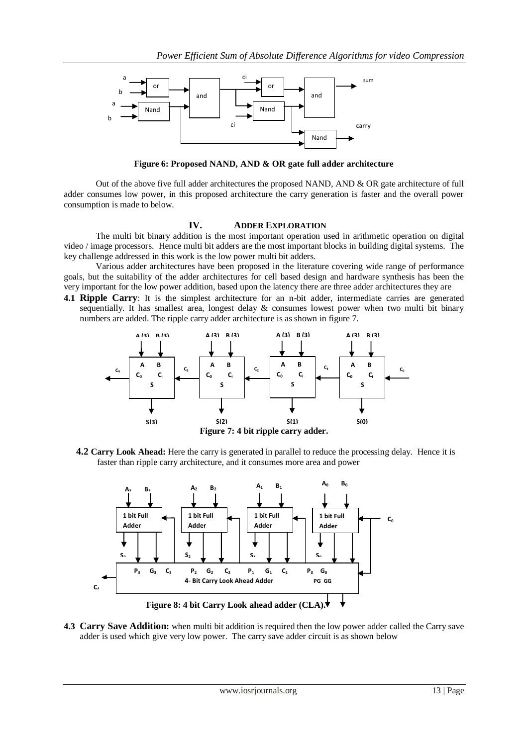

 **Figure 6: Proposed NAND, AND & OR gate full adder architecture**

Out of the above five full adder architectures the proposed NAND, AND & OR gate architecture of full adder consumes low power, in this proposed architecture the carry generation is faster and the overall power consumption is made to below.

#### **IV. ADDER EXPLORATION**

The multi bit binary addition is the most important operation used in arithmetic operation on digital video / image processors. Hence multi bit adders are the most important blocks in building digital systems. The key challenge addressed in this work is the low power multi bit adders.

Various adder architectures have been proposed in the literature covering wide range of performance goals, but the suitability of the adder architectures for cell based design and hardware synthesis has been the very important for the low power addition, based upon the latency there are three adder architectures they are

**4.1 Ripple Carry**: It is the simplest architecture for an n-bit adder, intermediate carries are generated sequentially. It has smallest area, longest delay & consumes lowest power when two multi bit binary numbers are added. The ripple carry adder architecture is as shown in figure 7.



 **4.2 Carry Look Ahead:** Here the carry is generated in parallel to reduce the processing delay. Hence it is faster than ripple carry architecture, and it consumes more area and power



**4.3 Carry Save Addition:** when multi bit addition is required then the low power adder called the Carry save adder is used which give very low power. The carry save adder circuit is as shown below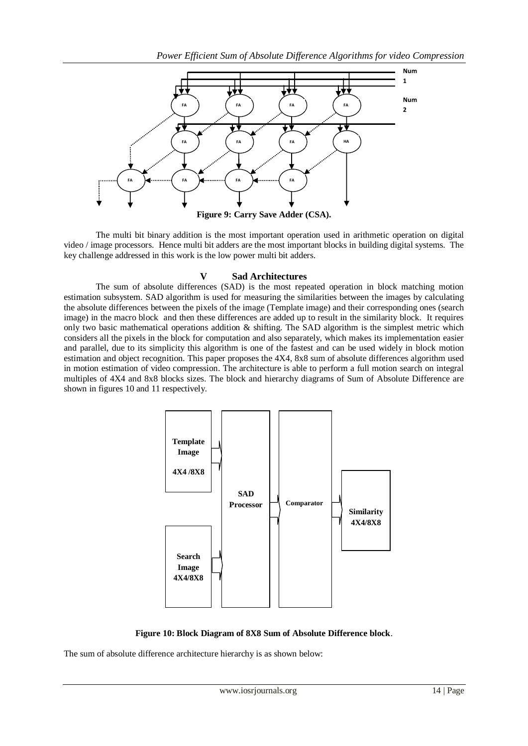

The multi bit binary addition is the most important operation used in arithmetic operation on digital video / image processors. Hence multi bit adders are the most important blocks in building digital systems. The key challenge addressed in this work is the low power multi bit adders.

## **V Sad Architectures**

The sum of absolute differences (SAD) is the most repeated operation in block matching motion estimation subsystem. SAD algorithm is used for measuring the similarities between the images by calculating the absolute differences between the pixels of the image (Template image) and their corresponding ones (search image) in the macro block and then these differences are added up to result in the similarity block. It requires only two basic mathematical operations addition  $\&$  shifting. The SAD algorithm is the simplest metric which considers all the pixels in the block for computation and also separately, which makes its implementation easier and parallel, due to its simplicity this algorithm is one of the fastest and can be used widely in block motion estimation and object recognition. This paper proposes the 4X4, 8x8 sum of absolute differences algorithm used in motion estimation of video compression. The architecture is able to perform a full motion search on integral multiples of 4X4 and 8x8 blocks sizes. The block and hierarchy diagrams of Sum of Absolute Difference are shown in figures 10 and 11 respectively.



**Figure 10: Block Diagram of 8X8 Sum of Absolute Difference block**.

The sum of absolute difference architecture hierarchy is as shown below: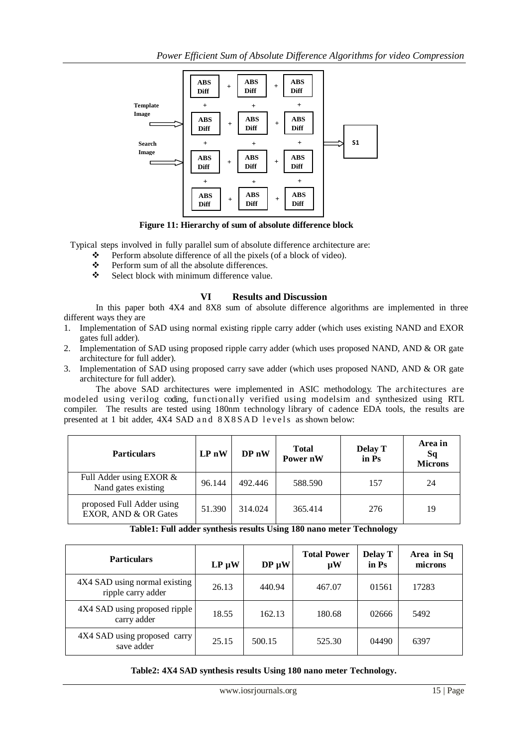

**Figure 11: Hierarchy of sum of absolute difference block**

Typical steps involved in fully parallel sum of absolute difference architecture are:

- \* Perform absolute difference of all the pixels (of a block of video).
- Perform sum of all the absolute differences.
- Select block with minimum difference value.

## **VI Results and Discussion**

In this paper both 4X4 and 8X8 sum of absolute difference algorithms are implemented in three different ways they are

- 1. Implementation of SAD using normal existing ripple carry adder (which uses existing NAND and EXOR gates full adder).
- 2. Implementation of SAD using proposed ripple carry adder (which uses proposed NAND, AND & OR gate architecture for full adder).
- 3. Implementation of SAD using proposed carry save adder (which uses proposed NAND, AND & OR gate architecture for full adder).

The above SAD architectures were implemented in ASIC methodology. The architectures are modeled using verilog coding, functionally verified using modelsim and synthesized using RTL compiler. The results are tested using 180nm technology library of c adence EDA tools, the results are presented at 1 bit adder, 4X4 SAD and 8X8SAD levels as shown below:

| <b>Particulars</b>                                | $LPn$ W | DP <sub>n</sub> | <b>Total</b><br>Power nW | <b>Delay T</b><br>in Ps | Area in<br>Sq<br><b>Microns</b> |
|---------------------------------------------------|---------|-----------------|--------------------------|-------------------------|---------------------------------|
| Full Adder using EXOR &<br>Nand gates existing    | 96.144  | 492.446         | 588.590                  | 157                     | 24                              |
| proposed Full Adder using<br>EXOR, AND & OR Gates | 51.390  | 314.024         | 365.414                  | 276                     | 19                              |

**Table1: Full adder synthesis results Using 180 nano meter Technology**

| <b>Particulars</b>                                  | $LP \mu W$ | $DP \mu W$ | <b>Total Power</b><br>$\mu$ W | <b>Delay T</b><br>in Ps | Area in Sq<br>microns |
|-----------------------------------------------------|------------|------------|-------------------------------|-------------------------|-----------------------|
| 4X4 SAD using normal existing<br>ripple carry adder | 26.13      | 440.94     | 467.07                        | 01561                   | 17283                 |
| 4X4 SAD using proposed ripple<br>carry adder        | 18.55      | 162.13     | 180.68                        | 02666                   | 5492                  |
| 4X4 SAD using proposed carry<br>save adder          | 25.15      | 500.15     | 525.30                        | 04490                   | 6397                  |

**Table2: 4X4 SAD synthesis results Using 180 nano meter Technology.**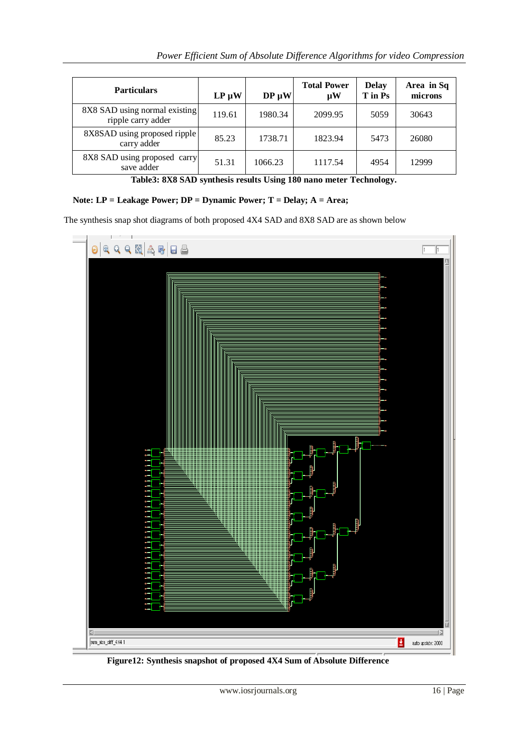| <b>Particulars</b>                                  | $LP \mu W$ | $DP \mu W$ | <b>Total Power</b><br>$\mathbf{u}$ W | <b>Delay</b><br>T in Ps | Area in Sq<br>microns |
|-----------------------------------------------------|------------|------------|--------------------------------------|-------------------------|-----------------------|
| 8X8 SAD using normal existing<br>ripple carry adder | 119.61     | 1980.34    | 2099.95                              | 5059                    | 30643                 |
| 8X8SAD using proposed ripple<br>carry adder         | 85.23      | 1738.71    | 1823.94                              | 5473                    | 26080                 |
| 8X8 SAD using proposed carry<br>save adder          | 51.31      | 1066.23    | 1117.54                              | 4954                    | 12999                 |

**Table3: 8X8 SAD synthesis results Using 180 nano meter Technology.**

## **Note: LP = Leakage Power; DP = Dynamic Power; T = Delay; A = Area;**

The synthesis snap shot diagrams of both proposed 4X4 SAD and 8X8 SAD are as shown below



**Figure12: Synthesis snapshot of proposed 4X4 Sum of Absolute Difference**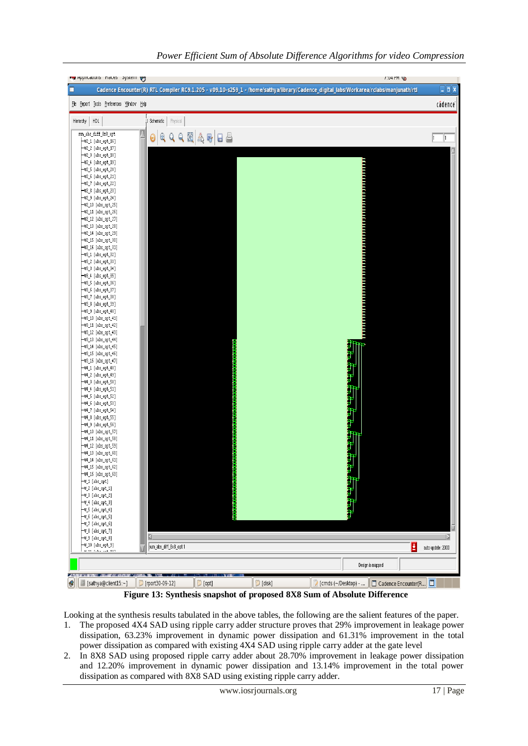

 **Figure 13: Synthesis snapshot of proposed 8X8 Sum of Absolute Difference**

Looking at the synthesis results tabulated in the above tables, the following are the salient features of the paper.

- 1. The proposed 4X4 SAD using ripple carry adder structure proves that 29% improvement in leakage power dissipation, 63.23% improvement in dynamic power dissipation and 61.31% improvement in the total power dissipation as compared with existing 4X4 SAD using ripple carry adder at the gate level
- 2. In 8X8 SAD using proposed ripple carry adder about 28.70% improvement in leakage power dissipation and 12.20% improvement in dynamic power dissipation and 13.14% improvement in the total power dissipation as compared with 8X8 SAD using existing ripple carry adder.